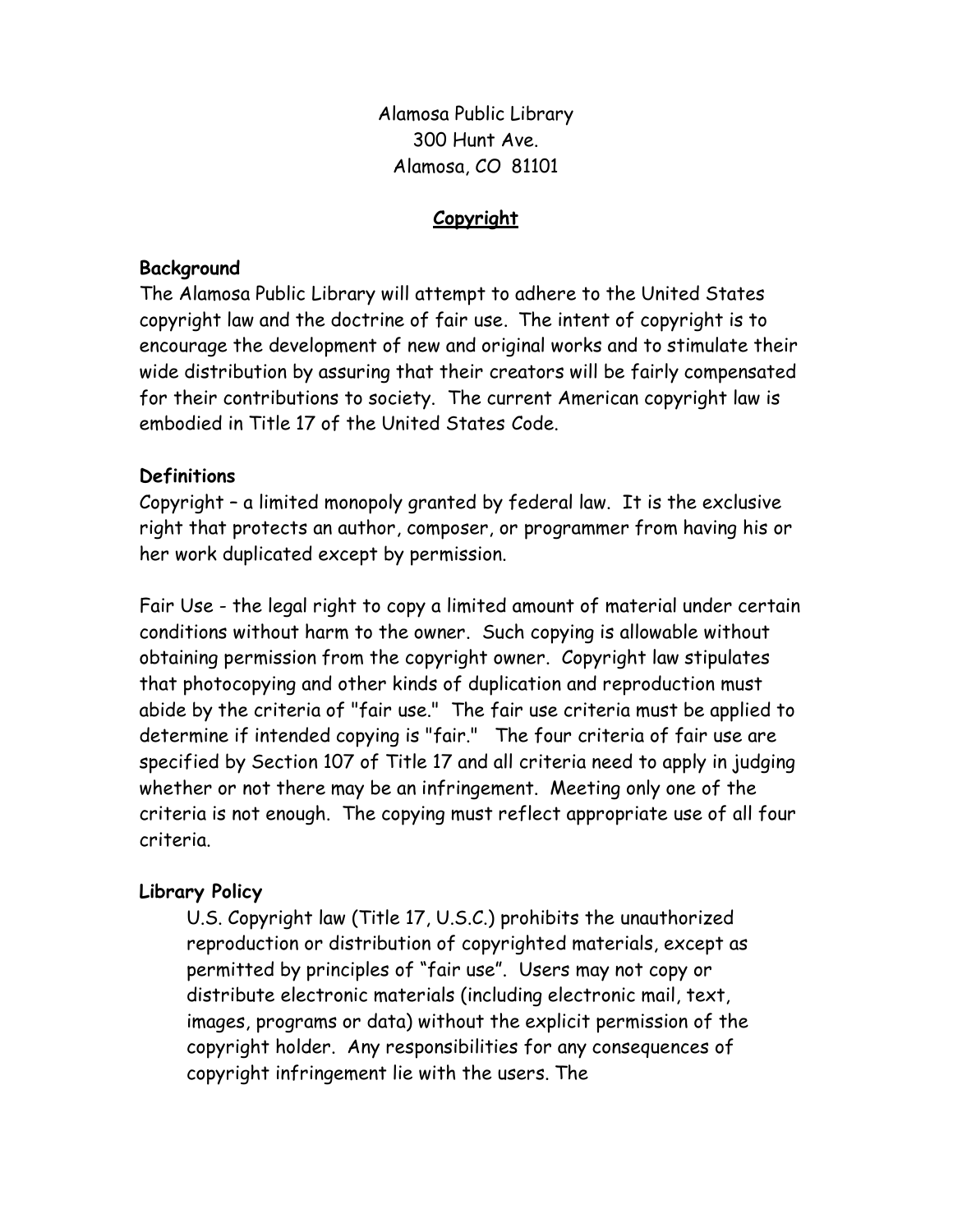Alamosa Public Library 300 Hunt Ave. Alamosa, CO 81101

## Copyright

#### Background

The Alamosa Public Library will attempt to adhere to the United States copyright law and the doctrine of fair use. The intent of copyright is to encourage the development of new and original works and to stimulate their wide distribution by assuring that their creators will be fairly compensated for their contributions to society. The current American copyright law is embodied in Title 17 of the United States Code.

## **Definitions**

Copyright – a limited monopoly granted by federal law. It is the exclusive right that protects an author, composer, or programmer from having his or her work duplicated except by permission.

Fair Use - the legal right to copy a limited amount of material under certain conditions without harm to the owner. Such copying is allowable without obtaining permission from the copyright owner. Copyright law stipulates that photocopying and other kinds of duplication and reproduction must abide by the criteria of "fair use." The fair use criteria must be applied to determine if intended copying is "fair." The four criteria of fair use are specified by Section 107 of Title 17 and all criteria need to apply in judging whether or not there may be an infringement. Meeting only one of the criteria is not enough. The copying must reflect appropriate use of all four criteria.

# Library Policy

U.S. Copyright law (Title 17, U.S.C.) prohibits the unauthorized reproduction or distribution of copyrighted materials, except as permitted by principles of "fair use". Users may not copy or distribute electronic materials (including electronic mail, text, images, programs or data) without the explicit permission of the copyright holder. Any responsibilities for any consequences of copyright infringement lie with the users. The